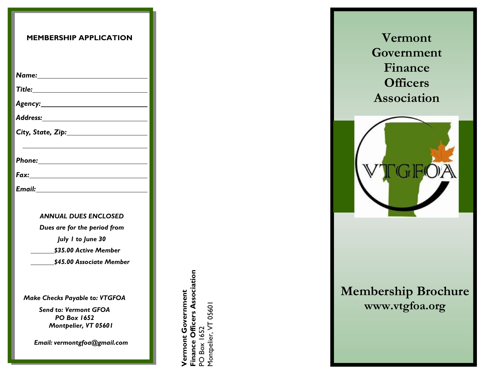| <b>MEMBERSHIP APPLICATION</b>                                              |
|----------------------------------------------------------------------------|
|                                                                            |
|                                                                            |
|                                                                            |
|                                                                            |
| Address: _____________________                                             |
| $City, State, Zip: \_ \_ \_ \_ \_ \_ \_$                                   |
|                                                                            |
|                                                                            |
|                                                                            |
|                                                                            |
| <b>ANNUAL DUES ENCLOSED</b>                                                |
| Dues are for the period from                                               |
| July 1 to June 30                                                          |
| \$35.00 Active Member                                                      |
| \$45.00 Associate Member                                                   |
| <b>Make Checks Payable to: VTGFOA</b>                                      |
| <b>Send to: Vermont GFOA</b><br><b>PO Box 1652</b><br>Montpelier, VT 05601 |
| Email: vermontgfoa@gmail.com                                               |

**Vermont Government<br>Finance Officers Association**<br>PO Box 1652 **Finance Officers Association Vermont Government** Montpelier, VT 05601 Montpelier, VT 05601PO Box 1652

**Vermont Government Finance Officers Association**



# **Membership Brochure [www.vtgfoa.org](http://www.vtgfoa.org/)**